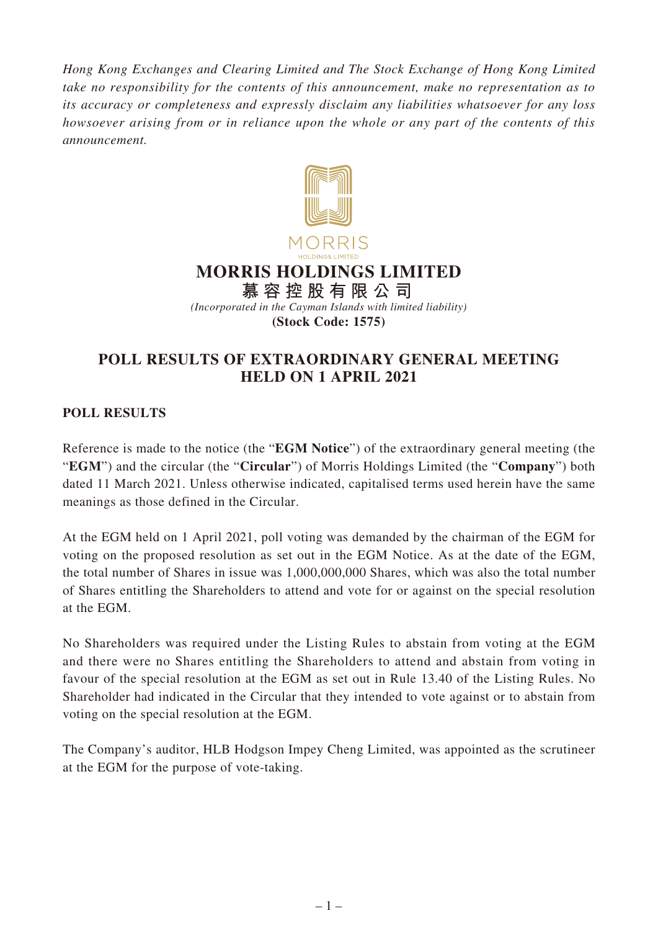*Hong Kong Exchanges and Clearing Limited and The Stock Exchange of Hong Kong Limited take no responsibility for the contents of this announcement, make no representation as to its accuracy or completeness and expressly disclaim any liabilities whatsoever for any loss howsoever arising from or in reliance upon the whole or any part of the contents of this announcement.*



## **POLL RESULTS OF EXTRAORDINARY GENERAL MEETING HELD ON 1 APRIL 2021**

## **POLL RESULTS**

Reference is made to the notice (the "**EGM Notice**") of the extraordinary general meeting (the "**EGM**") and the circular (the "**Circular**") of Morris Holdings Limited (the "**Company**") both dated 11 March 2021. Unless otherwise indicated, capitalised terms used herein have the same meanings as those defined in the Circular.

At the EGM held on 1 April 2021, poll voting was demanded by the chairman of the EGM for voting on the proposed resolution as set out in the EGM Notice. As at the date of the EGM, the total number of Shares in issue was 1,000,000,000 Shares, which was also the total number of Shares entitling the Shareholders to attend and vote for or against on the special resolution at the EGM.

No Shareholders was required under the Listing Rules to abstain from voting at the EGM and there were no Shares entitling the Shareholders to attend and abstain from voting in favour of the special resolution at the EGM as set out in Rule 13.40 of the Listing Rules. No Shareholder had indicated in the Circular that they intended to vote against or to abstain from voting on the special resolution at the EGM.

The Company's auditor, HLB Hodgson Impey Cheng Limited, was appointed as the scrutineer at the EGM for the purpose of vote-taking.